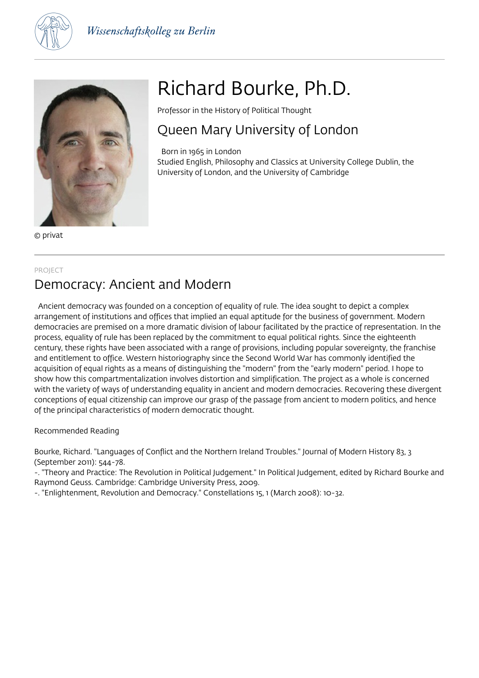



© privat

# Richard Bourke, Ph.D.

Professor in the History of Political Thought

# Queen Mary University of London

 Born in 1965 in London Studied English, Philosophy and Classics at University College Dublin, the University of London, and the University of Cambridge

#### PROJECT

# Democracy: Ancient and Modern

 Ancient democracy was founded on a conception of equality of rule. The idea sought to depict a complex arrangement of institutions and offices that implied an equal aptitude for the business of government. Modern democracies are premised on a more dramatic division of labour facilitated by the practice of representation. In the process, equality of rule has been replaced by the commitment to equal political rights. Since the eighteenth century, these rights have been associated with a range of provisions, including popular sovereignty, the franchise and entitlement to office. Western historiography since the Second World War has commonly identified the acquisition of equal rights as a means of distinguishing the "modern" from the "early modern" period. I hope to show how this compartmentalization involves distortion and simplification. The project as a whole is concerned with the variety of ways of understanding equality in ancient and modern democracies. Recovering these divergent conceptions of equal citizenship can improve our grasp of the passage from ancient to modern politics, and hence of the principal characteristics of modern democratic thought.

### Recommended Reading

Bourke, Richard. "Languages of Conflict and the Northern Ireland Troubles." Journal of Modern History 83, 3 (September 2011): 544-78.

-. "Theory and Practice: The Revolution in Political Judgement." In Political Judgement, edited by Richard Bourke and Raymond Geuss. Cambridge: Cambridge University Press, 2009.

-. "Enlightenment, Revolution and Democracy." Constellations 15, 1 (March 2008): 10-32.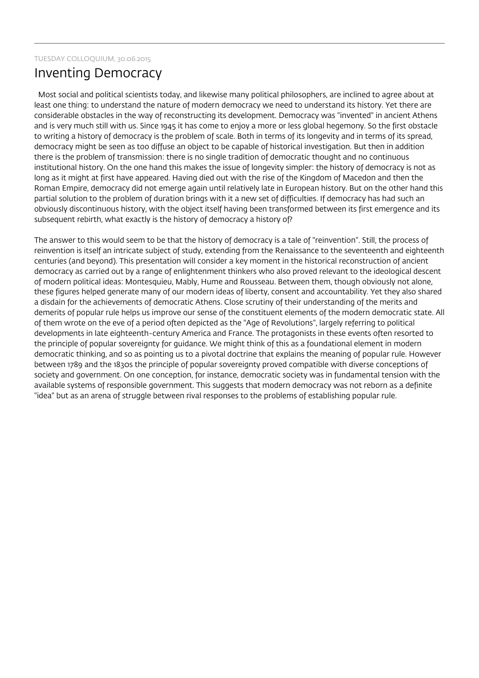# Inventing Democracy

 Most social and political scientists today, and likewise many political philosophers, are inclined to agree about at least one thing: to understand the nature of modern democracy we need to understand its history. Yet there are considerable obstacles in the way of reconstructing its development. Democracy was "invented" in ancient Athens and is very much still with us. Since 1945 it has come to enjoy a more or less global hegemony. So the first obstacle to writing a history of democracy is the problem of scale. Both in terms of its longevity and in terms of its spread, democracy might be seen as too diffuse an object to be capable of historical investigation. But then in addition there is the problem of transmission: there is no single tradition of democratic thought and no continuous institutional history. On the one hand this makes the issue of longevity simpler: the history of democracy is not as long as it might at first have appeared. Having died out with the rise of the Kingdom of Macedon and then the Roman Empire, democracy did not emerge again until relatively late in European history. But on the other hand this partial solution to the problem of duration brings with it a new set of difficulties. If democracy has had such an obviously discontinuous history, with the object itself having been transformed between its first emergence and its subsequent rebirth, what exactly is the history of democracy a history of?

The answer to this would seem to be that the history of democracy is a tale of "reinvention". Still, the process of reinvention is itself an intricate subject of study, extending from the Renaissance to the seventeenth and eighteenth centuries (and beyond). This presentation will consider a key moment in the historical reconstruction of ancient democracy as carried out by a range of enlightenment thinkers who also proved relevant to the ideological descent of modern political ideas: Montesquieu, Mably, Hume and Rousseau. Between them, though obviously not alone, these figures helped generate many of our modern ideas of liberty, consent and accountability. Yet they also shared a disdain for the achievements of democratic Athens. Close scrutiny of their understanding of the merits and demerits of popular rule helps us improve our sense of the constituent elements of the modern democratic state. All of them wrote on the eve of a period often depicted as the "Age of Revolutions", largely referring to political developments in late eighteenth-century America and France. The protagonists in these events often resorted to the principle of popular sovereignty for guidance. We might think of this as a foundational element in modern democratic thinking, and so as pointing us to a pivotal doctrine that explains the meaning of popular rule. However between 1789 and the 1830s the principle of popular sovereignty proved compatible with diverse conceptions of society and government. On one conception, for instance, democratic society was in fundamental tension with the available systems of responsible government. This suggests that modern democracy was not reborn as a definite "idea" but as an arena of struggle between rival responses to the problems of establishing popular rule.